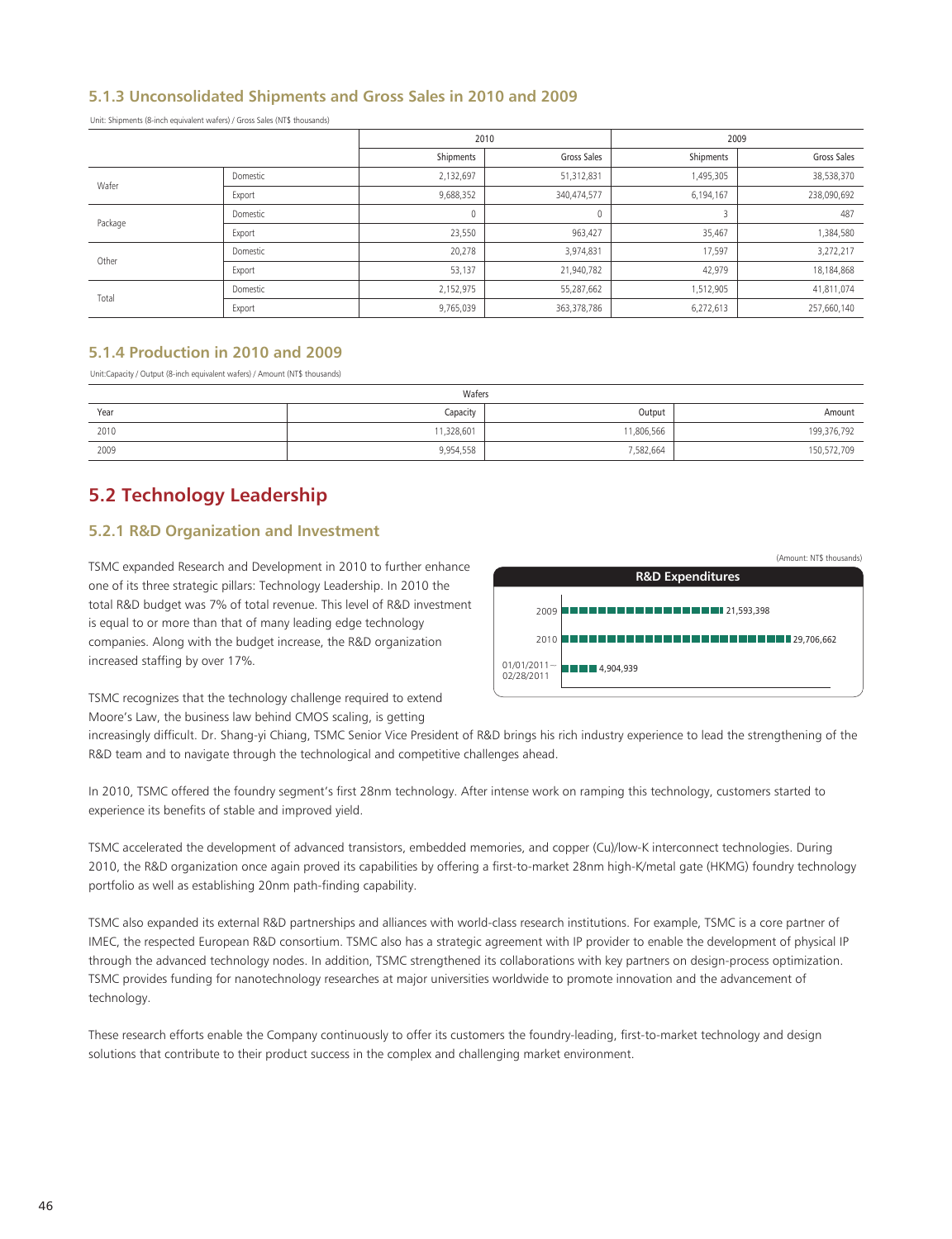## **5.1.3 Unconsolidated Shipments and Gross Sales in 2010 and 2009**

Unit: Shipments (8-inch equivalent wafers) / Gross Sales (NT\$ thousands)

|         |          | 2010        |             | 2009      |             |
|---------|----------|-------------|-------------|-----------|-------------|
|         |          | Shipments   | Gross Sales | Shipments | Gross Sales |
| Wafer   | Domestic | 2,132,697   | 51,312,831  | 1,495,305 | 38,538,370  |
|         | Export   | 9,688,352   | 340,474,577 | 6,194,167 | 238,090,692 |
| Package | Domestic | $\mathbf 0$ | 0           |           | 487         |
|         | Export   | 23,550      | 963,427     | 35,467    | 1,384,580   |
| Other   | Domestic | 20,278      | 3,974,831   | 17,597    | 3,272,217   |
|         | Export   | 53,137      | 21,940,782  | 42,979    | 18,184,868  |
| Total   | Domestic | 2,152,975   | 55,287,662  | 1,512,905 | 41,811,074  |
|         | Export   | 9,765,039   | 363,378,786 | 6,272,613 | 257,660,140 |

## **5.1.4 Production in 2010 and 2009**

Unit:Capacity / Output (8-inch equivalent wafers) / Amount (NT\$ thousands)

| Wafers |           |           |             |  |  |  |  |
|--------|-----------|-----------|-------------|--|--|--|--|
| Year   | Capacity  | Output    | Amount      |  |  |  |  |
| 2010   | 1,328,601 | 1,806,566 | 199,376,792 |  |  |  |  |
| 2009   | 9,954,558 | 7,582,664 | 150,572,709 |  |  |  |  |

# **5.2 Technology Leadership**

## **5.2.1 R&D Organization and Investment**

TSMC expanded Research and Development in 2010 to further enhance one of its three strategic pillars: Technology Leadership. In 2010 the total R&D budget was 7% of total revenue. This level of R&D investment is equal to or more than that of many leading edge technology companies. Along with the budget increase, the R&D organization increased staffing by over 17%.



TSMC recognizes that the technology challenge required to extend Moore's Law, the business law behind CMOS scaling, is getting

increasingly difficult. Dr. Shang-yi Chiang, TSMC Senior Vice President of R&D brings his rich industry experience to lead the strengthening of the R&D team and to navigate through the technological and competitive challenges ahead.

In 2010, TSMC offered the foundry segment's first 28nm technology. After intense work on ramping this technology, customers started to experience its benefits of stable and improved yield.

TSMC accelerated the development of advanced transistors, embedded memories, and copper (Cu)/low-K interconnect technologies. During 2010, the R&D organization once again proved its capabilities by offering a first-to-market 28nm high-K/metal gate (HKMG) foundry technology portfolio as well as establishing 20nm path-finding capability.

TSMC also expanded its external R&D partnerships and alliances with world-class research institutions. For example, TSMC is a core partner of IMEC, the respected European R&D consortium. TSMC also has a strategic agreement with IP provider to enable the development of physical IP through the advanced technology nodes. In addition, TSMC strengthened its collaborations with key partners on design-process optimization. TSMC provides funding for nanotechnology researches at major universities worldwide to promote innovation and the advancement of technology.

These research efforts enable the Company continuously to offer its customers the foundry-leading, first-to-market technology and design solutions that contribute to their product success in the complex and challenging market environment.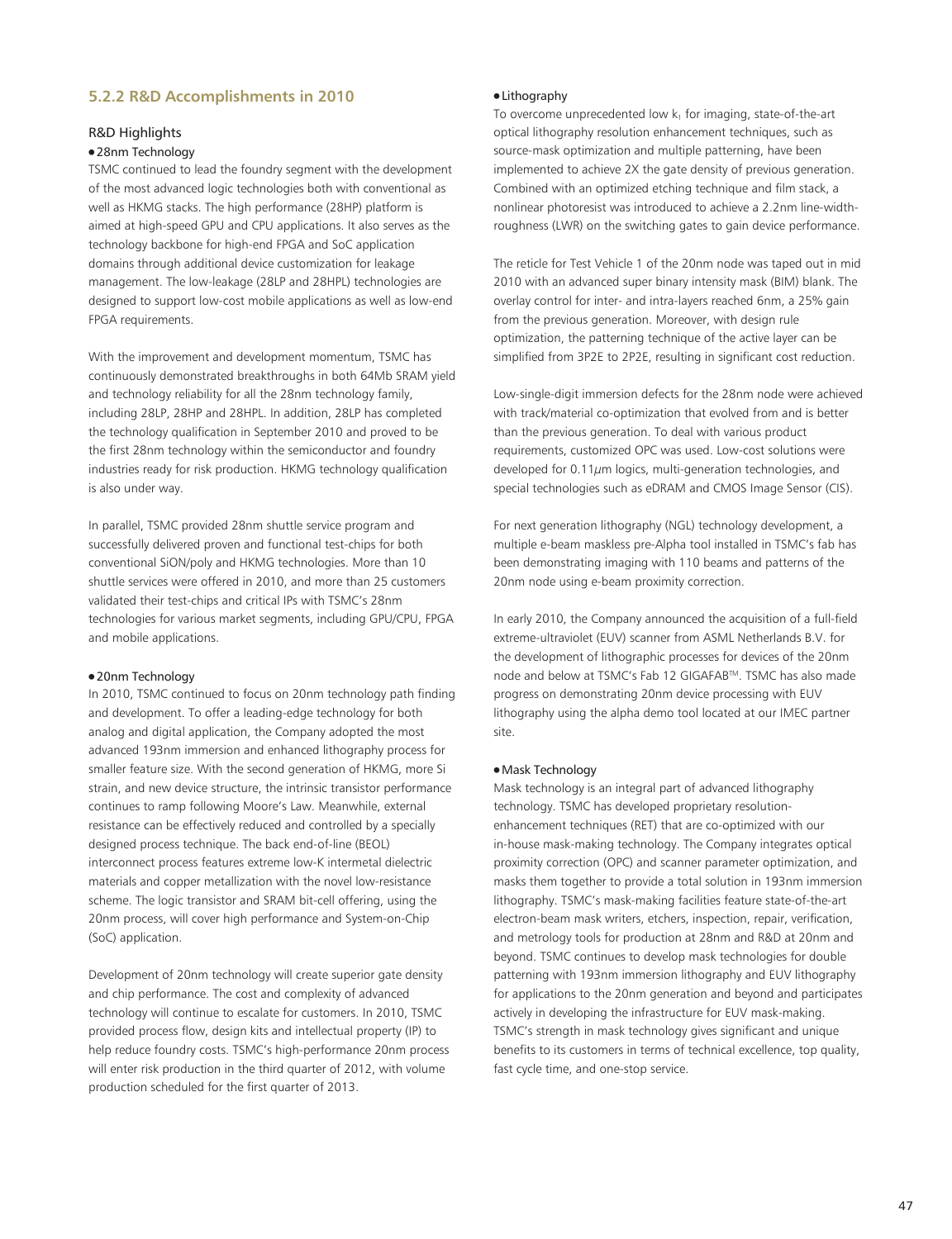## **5.2.2 R&D Accomplishments in 2010**

## R&D Highlights

#### ● 28nm Technology

TSMC continued to lead the foundry segment with the development of the most advanced logic technologies both with conventional as well as HKMG stacks. The high performance (28HP) platform is aimed at high-speed GPU and CPU applications. It also serves as the technology backbone for high-end FPGA and SoC application domains through additional device customization for leakage management. The low-leakage (28LP and 28HPL) technologies are designed to support low-cost mobile applications as well as low-end FPGA requirements.

With the improvement and development momentum, TSMC has continuously demonstrated breakthroughs in both 64Mb SRAM yield and technology reliability for all the 28nm technology family, including 28LP, 28HP and 28HPL. In addition, 28LP has completed the technology qualification in September 2010 and proved to be the first 28nm technology within the semiconductor and foundry industries ready for risk production. HKMG technology qualification is also under way.

In parallel, TSMC provided 28nm shuttle service program and successfully delivered proven and functional test-chips for both conventional SiON/poly and HKMG technologies. More than 10 shuttle services were offered in 2010, and more than 25 customers validated their test-chips and critical IPs with TSMC's 28nm technologies for various market segments, including GPU/CPU, FPGA and mobile applications.

#### ● 20nm Technology

In 2010, TSMC continued to focus on 20nm technology path finding and development. To offer a leading-edge technology for both analog and digital application, the Company adopted the most advanced 193nm immersion and enhanced lithography process for smaller feature size. With the second generation of HKMG, more Si strain, and new device structure, the intrinsic transistor performance continues to ramp following Moore's Law. Meanwhile, external resistance can be effectively reduced and controlled by a specially designed process technique. The back end-of-line (BEOL) interconnect process features extreme low-K intermetal dielectric materials and copper metallization with the novel low-resistance scheme. The logic transistor and SRAM bit-cell offering, using the 20nm process, will cover high performance and System-on-Chip (SoC) application.

Development of 20nm technology will create superior gate density and chip performance. The cost and complexity of advanced technology will continue to escalate for customers. In 2010, TSMC provided process flow, design kits and intellectual property (IP) to help reduce foundry costs. TSMC's high-performance 20nm process will enter risk production in the third quarter of 2012, with volume production scheduled for the first quarter of 2013.

## ● Lithography

To overcome unprecedented low  $k_1$  for imaging, state-of-the-art optical lithography resolution enhancement techniques, such as source-mask optimization and multiple patterning, have been implemented to achieve 2X the gate density of previous generation. Combined with an optimized etching technique and film stack, a nonlinear photoresist was introduced to achieve a 2.2nm line-widthroughness (LWR) on the switching gates to gain device performance.

The reticle for Test Vehicle 1 of the 20nm node was taped out in mid 2010 with an advanced super binary intensity mask (BIM) blank. The overlay control for inter- and intra-layers reached 6nm, a 25% gain from the previous generation. Moreover, with design rule optimization, the patterning technique of the active layer can be simplified from 3P2E to 2P2E, resulting in significant cost reduction.

Low-single-digit immersion defects for the 28nm node were achieved with track/material co-optimization that evolved from and is better than the previous generation. To deal with various product requirements, customized OPC was used. Low-cost solutions were developed for 0.11 $\mu$ m logics, multi-generation technologies, and special technologies such as eDRAM and CMOS Image Sensor (CIS).

For next generation lithography (NGL) technology development, a multiple e-beam maskless pre-Alpha tool installed in TSMC's fab has been demonstrating imaging with 110 beams and patterns of the 20nm node using e-beam proximity correction.

In early 2010, the Company announced the acquisition of a full-field extreme-ultraviolet (EUV) scanner from ASML Netherlands B.V. for the development of lithographic processes for devices of the 20nm node and below at TSMC's Fab 12 GIGAFABTM. TSMC has also made progress on demonstrating 20nm device processing with EUV lithography using the alpha demo tool located at our IMEC partner site.

#### ● Mask Technology

Mask technology is an integral part of advanced lithography technology. TSMC has developed proprietary resolutionenhancement techniques (RET) that are co-optimized with our in-house mask-making technology. The Company integrates optical proximity correction (OPC) and scanner parameter optimization, and masks them together to provide a total solution in 193nm immersion lithography. TSMC's mask-making facilities feature state-of-the-art electron-beam mask writers, etchers, inspection, repair, verification, and metrology tools for production at 28nm and R&D at 20nm and beyond. TSMC continues to develop mask technologies for double patterning with 193nm immersion lithography and EUV lithography for applications to the 20nm generation and beyond and participates actively in developing the infrastructure for EUV mask-making. TSMC's strength in mask technology gives significant and unique benefits to its customers in terms of technical excellence, top quality, fast cycle time, and one-stop service.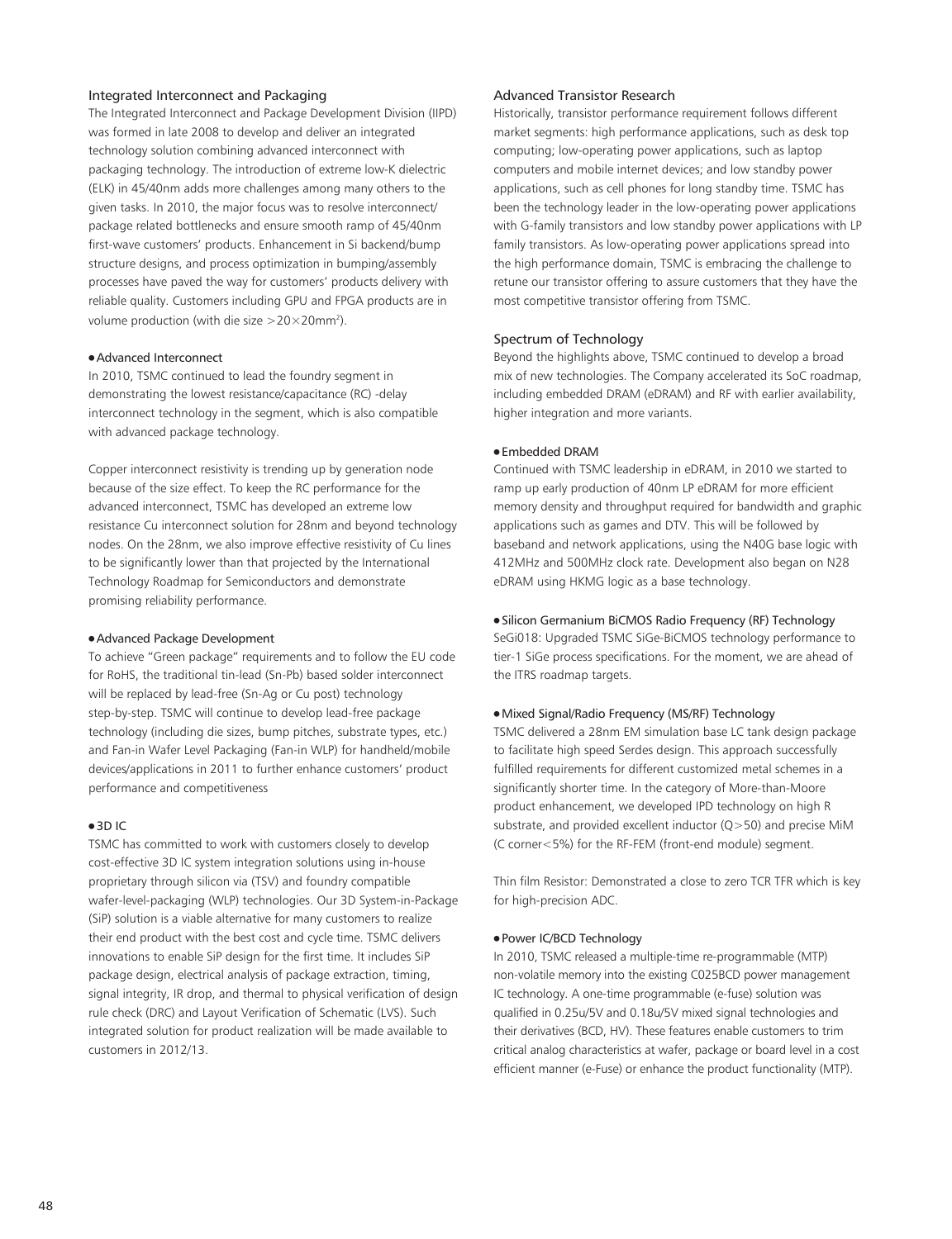## Integrated Interconnect and Packaging

The Integrated Interconnect and Package Development Division (IIPD) was formed in late 2008 to develop and deliver an integrated technology solution combining advanced interconnect with packaging technology. The introduction of extreme low-K dielectric (ELK) in 45/40nm adds more challenges among many others to the given tasks. In 2010, the major focus was to resolve interconnect/ package related bottlenecks and ensure smooth ramp of 45/40nm first-wave customers' products. Enhancement in Si backend/bump structure designs, and process optimization in bumping/assembly processes have paved the way for customers' products delivery with reliable quality. Customers including GPU and FPGA products are in volume production (with die size  $>$  20 $\times$  20mm<sup>2</sup>).

#### ● Advanced Interconnect

In 2010, TSMC continued to lead the foundry segment in demonstrating the lowest resistance/capacitance (RC) -delay interconnect technology in the segment, which is also compatible with advanced package technology.

Copper interconnect resistivity is trending up by generation node because of the size effect. To keep the RC performance for the advanced interconnect, TSMC has developed an extreme low resistance Cu interconnect solution for 28nm and beyond technology nodes. On the 28nm, we also improve effective resistivity of Cu lines to be significantly lower than that projected by the International Technology Roadmap for Semiconductors and demonstrate promising reliability performance.

## ● Advanced Package Development

To achieve "Green package" requirements and to follow the EU code for RoHS, the traditional tin-lead (Sn-Pb) based solder interconnect will be replaced by lead-free (Sn-Ag or Cu post) technology step-by-step. TSMC will continue to develop lead-free package technology (including die sizes, bump pitches, substrate types, etc.) and Fan-in Wafer Level Packaging (Fan-in WLP) for handheld/mobile devices/applications in 2011 to further enhance customers' product performance and competitiveness

#### ● 3D IC

TSMC has committed to work with customers closely to develop cost-effective 3D IC system integration solutions using in-house proprietary through silicon via (TSV) and foundry compatible wafer-level-packaging (WLP) technologies. Our 3D System-in-Package (SiP) solution is a viable alternative for many customers to realize their end product with the best cost and cycle time. TSMC delivers innovations to enable SiP design for the first time. It includes SiP package design, electrical analysis of package extraction, timing, signal integrity, IR drop, and thermal to physical verification of design rule check (DRC) and Layout Verification of Schematic (LVS). Such integrated solution for product realization will be made available to customers in 2012/13.

## Advanced Transistor Research

Historically, transistor performance requirement follows different market segments: high performance applications, such as desk top computing; low-operating power applications, such as laptop computers and mobile internet devices; and low standby power applications, such as cell phones for long standby time. TSMC has been the technology leader in the low-operating power applications with G-family transistors and low standby power applications with LP family transistors. As low-operating power applications spread into the high performance domain, TSMC is embracing the challenge to retune our transistor offering to assure customers that they have the most competitive transistor offering from TSMC.

#### Spectrum of Technology

Beyond the highlights above, TSMC continued to develop a broad mix of new technologies. The Company accelerated its SoC roadmap, including embedded DRAM (eDRAM) and RF with earlier availability, higher integration and more variants.

#### ● Embedded DRAM

Continued with TSMC leadership in eDRAM, in 2010 we started to ramp up early production of 40nm LP eDRAM for more efficient memory density and throughput required for bandwidth and graphic applications such as games and DTV. This will be followed by baseband and network applications, using the N40G base logic with 412MHz and 500MHz clock rate. Development also began on N28 eDRAM using HKMG logic as a base technology.

#### ● Silicon Germanium BiCMOS Radio Frequency (RF) Technology

SeGi018: Upgraded TSMC SiGe-BiCMOS technology performance to tier-1 SiGe process specifications. For the moment, we are ahead of the ITRS roadmap targets.

#### ● Mixed Signal/Radio Frequency (MS/RF) Technology

TSMC delivered a 28nm EM simulation base LC tank design package to facilitate high speed Serdes design. This approach successfully fulfilled requirements for different customized metal schemes in a significantly shorter time. In the category of More-than-Moore product enhancement, we developed IPD technology on high R substrate, and provided excellent inductor (Q>50) and precise MiM (C corner<5%) for the RF-FEM (front-end module) segment.

Thin film Resistor: Demonstrated a close to zero TCR TFR which is key for high-precision ADC.

## ● Power IC/BCD Technology

In 2010, TSMC released a multiple-time re-programmable (MTP) non-volatile memory into the existing C025BCD power management IC technology. A one-time programmable (e-fuse) solution was qualified in 0.25u/5V and 0.18u/5V mixed signal technologies and their derivatives (BCD, HV). These features enable customers to trim critical analog characteristics at wafer, package or board level in a cost efficient manner (e-Fuse) or enhance the product functionality (MTP).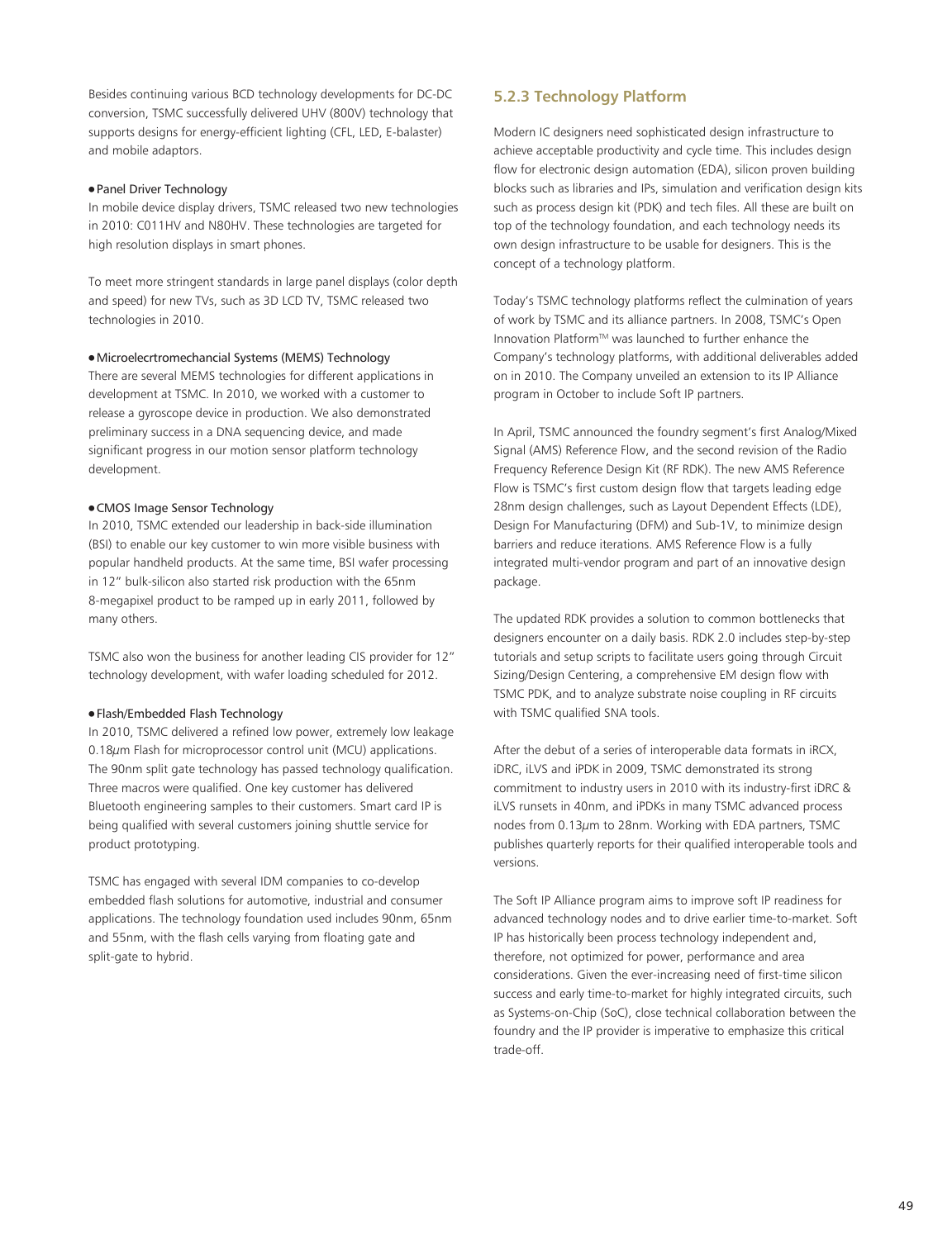Besides continuing various BCD technology developments for DC-DC conversion, TSMC successfully delivered UHV (800V) technology that supports designs for energy-efficient lighting (CFL, LED, E-balaster) and mobile adaptors.

#### ● Panel Driver Technology

In mobile device display drivers, TSMC released two new technologies in 2010: C011HV and N80HV. These technologies are targeted for high resolution displays in smart phones.

To meet more stringent standards in large panel displays (color depth and speed) for new TVs, such as 3D LCD TV, TSMC released two technologies in 2010.

#### ● Microelecrtromechancial Systems (MEMS) Technology

There are several MEMS technologies for different applications in development at TSMC. In 2010, we worked with a customer to release a gyroscope device in production. We also demonstrated preliminary success in a DNA sequencing device, and made significant progress in our motion sensor platform technology development.

## ● CMOS Image Sensor Technology

In 2010, TSMC extended our leadership in back-side illumination (BSI) to enable our key customer to win more visible business with popular handheld products. At the same time, BSI wafer processing in 12" bulk-silicon also started risk production with the 65nm 8-megapixel product to be ramped up in early 2011, followed by many others.

TSMC also won the business for another leading CIS provider for 12" technology development, with wafer loading scheduled for 2012.

#### ● Flash/Embedded Flash Technology

In 2010, TSMC delivered a refined low power, extremely low leakage 0.18 $\mu$ m Flash for microprocessor control unit (MCU) applications. The 90nm split gate technology has passed technology qualification. Three macros were qualified. One key customer has delivered Bluetooth engineering samples to their customers. Smart card IP is being qualified with several customers joining shuttle service for product prototyping.

TSMC has engaged with several IDM companies to co-develop embedded flash solutions for automotive, industrial and consumer applications. The technology foundation used includes 90nm, 65nm and 55nm, with the flash cells varying from floating gate and split-gate to hybrid.

# **5.2.3 Technology Platform**

Modern IC designers need sophisticated design infrastructure to achieve acceptable productivity and cycle time. This includes design flow for electronic design automation (EDA), silicon proven building blocks such as libraries and IPs, simulation and verification design kits such as process design kit (PDK) and tech files. All these are built on top of the technology foundation, and each technology needs its own design infrastructure to be usable for designers. This is the concept of a technology platform.

Today's TSMC technology platforms reflect the culmination of years of work by TSMC and its alliance partners. In 2008, TSMC's Open Innovation PlatformTM was launched to further enhance the Company's technology platforms, with additional deliverables added on in 2010. The Company unveiled an extension to its IP Alliance program in October to include Soft IP partners.

In April, TSMC announced the foundry segment's first Analog/Mixed Signal (AMS) Reference Flow, and the second revision of the Radio Frequency Reference Design Kit (RF RDK). The new AMS Reference Flow is TSMC's first custom design flow that targets leading edge 28nm design challenges, such as Layout Dependent Effects (LDE), Design For Manufacturing (DFM) and Sub-1V, to minimize design barriers and reduce iterations. AMS Reference Flow is a fully integrated multi-vendor program and part of an innovative design package.

The updated RDK provides a solution to common bottlenecks that designers encounter on a daily basis. RDK 2.0 includes step-by-step tutorials and setup scripts to facilitate users going through Circuit Sizing/Design Centering, a comprehensive EM design flow with TSMC PDK, and to analyze substrate noise coupling in RF circuits with TSMC qualified SNA tools.

After the debut of a series of interoperable data formats in iRCX, iDRC, iLVS and iPDK in 2009, TSMC demonstrated its strong commitment to industry users in 2010 with its industry-first iDRC & iLVS runsets in 40nm, and iPDKs in many TSMC advanced process nodes from 0.13µm to 28nm. Working with EDA partners, TSMC publishes quarterly reports for their qualified interoperable tools and versions.

The Soft IP Alliance program aims to improve soft IP readiness for advanced technology nodes and to drive earlier time-to-market. Soft IP has historically been process technology independent and, therefore, not optimized for power, performance and area considerations. Given the ever-increasing need of first-time silicon success and early time-to-market for highly integrated circuits, such as Systems-on-Chip (SoC), close technical collaboration between the foundry and the IP provider is imperative to emphasize this critical trade-off.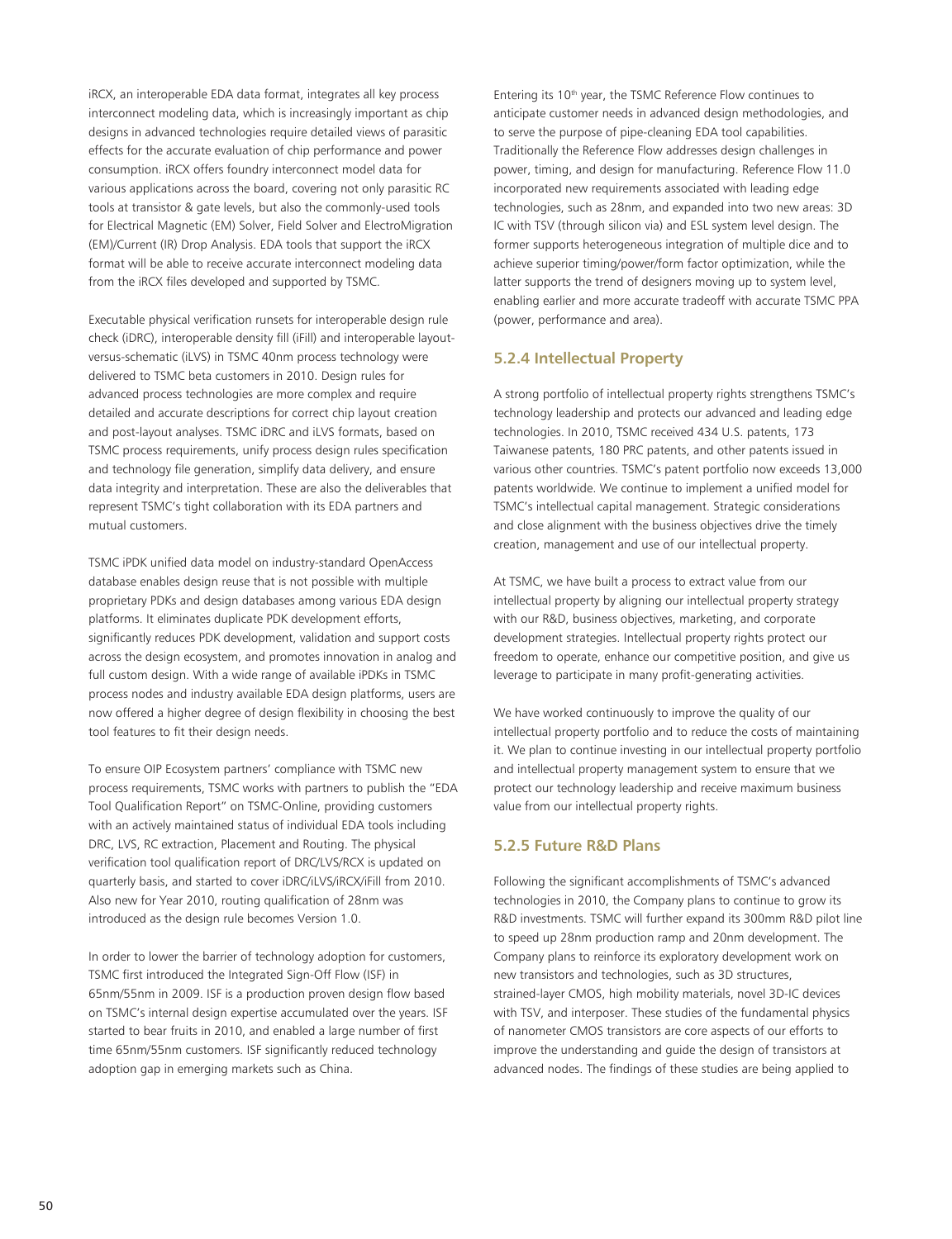iRCX, an interoperable EDA data format, integrates all key process interconnect modeling data, which is increasingly important as chip designs in advanced technologies require detailed views of parasitic effects for the accurate evaluation of chip performance and power consumption. iRCX offers foundry interconnect model data for various applications across the board, covering not only parasitic RC tools at transistor & gate levels, but also the commonly-used tools for Electrical Magnetic (EM) Solver, Field Solver and ElectroMigration (EM)/Current (IR) Drop Analysis. EDA tools that support the iRCX format will be able to receive accurate interconnect modeling data from the iRCX files developed and supported by TSMC.

Executable physical verification runsets for interoperable design rule check (iDRC), interoperable density fill (iFill) and interoperable layoutversus-schematic (iLVS) in TSMC 40nm process technology were delivered to TSMC beta customers in 2010. Design rules for advanced process technologies are more complex and require detailed and accurate descriptions for correct chip layout creation and post-layout analyses. TSMC iDRC and iLVS formats, based on TSMC process requirements, unify process design rules specification and technology file generation, simplify data delivery, and ensure data integrity and interpretation. These are also the deliverables that represent TSMC's tight collaboration with its EDA partners and mutual customers.

TSMC iPDK unified data model on industry-standard OpenAccess database enables design reuse that is not possible with multiple proprietary PDKs and design databases among various EDA design platforms. It eliminates duplicate PDK development efforts, significantly reduces PDK development, validation and support costs across the design ecosystem, and promotes innovation in analog and full custom design. With a wide range of available iPDKs in TSMC process nodes and industry available EDA design platforms, users are now offered a higher degree of design flexibility in choosing the best tool features to fit their design needs.

To ensure OIP Ecosystem partners' compliance with TSMC new process requirements, TSMC works with partners to publish the "EDA Tool Qualification Report" on TSMC-Online, providing customers with an actively maintained status of individual EDA tools including DRC, LVS, RC extraction, Placement and Routing. The physical verification tool qualification report of DRC/LVS/RCX is updated on quarterly basis, and started to cover iDRC/iLVS/iRCX/iFill from 2010. Also new for Year 2010, routing qualification of 28nm was introduced as the design rule becomes Version 1.0.

In order to lower the barrier of technology adoption for customers, TSMC first introduced the Integrated Sign-Off Flow (ISF) in 65nm/55nm in 2009. ISF is a production proven design flow based on TSMC's internal design expertise accumulated over the years. ISF started to bear fruits in 2010, and enabled a large number of first time 65nm/55nm customers. ISF significantly reduced technology adoption gap in emerging markets such as China.

Entering its 10th year, the TSMC Reference Flow continues to anticipate customer needs in advanced design methodologies, and to serve the purpose of pipe-cleaning EDA tool capabilities. Traditionally the Reference Flow addresses design challenges in power, timing, and design for manufacturing. Reference Flow 11.0 incorporated new requirements associated with leading edge technologies, such as 28nm, and expanded into two new areas: 3D IC with TSV (through silicon via) and ESL system level design. The former supports heterogeneous integration of multiple dice and to achieve superior timing/power/form factor optimization, while the latter supports the trend of designers moving up to system level, enabling earlier and more accurate tradeoff with accurate TSMC PPA (power, performance and area).

## **5.2.4 Intellectual Property**

A strong portfolio of intellectual property rights strengthens TSMC's technology leadership and protects our advanced and leading edge technologies. In 2010, TSMC received 434 U.S. patents, 173 Taiwanese patents, 180 PRC patents, and other patents issued in various other countries. TSMC's patent portfolio now exceeds 13,000 patents worldwide. We continue to implement a unified model for TSMC's intellectual capital management. Strategic considerations and close alignment with the business objectives drive the timely creation, management and use of our intellectual property.

At TSMC, we have built a process to extract value from our intellectual property by aligning our intellectual property strategy with our R&D, business objectives, marketing, and corporate development strategies. Intellectual property rights protect our freedom to operate, enhance our competitive position, and give us leverage to participate in many profit-generating activities.

We have worked continuously to improve the quality of our intellectual property portfolio and to reduce the costs of maintaining it. We plan to continue investing in our intellectual property portfolio and intellectual property management system to ensure that we protect our technology leadership and receive maximum business value from our intellectual property rights.

## **5.2.5 Future R&D Plans**

Following the significant accomplishments of TSMC's advanced technologies in 2010, the Company plans to continue to grow its R&D investments. TSMC will further expand its 300mm R&D pilot line to speed up 28nm production ramp and 20nm development. The Company plans to reinforce its exploratory development work on new transistors and technologies, such as 3D structures, strained-layer CMOS, high mobility materials, novel 3D-IC devices with TSV, and interposer. These studies of the fundamental physics of nanometer CMOS transistors are core aspects of our efforts to improve the understanding and guide the design of transistors at advanced nodes. The findings of these studies are being applied to